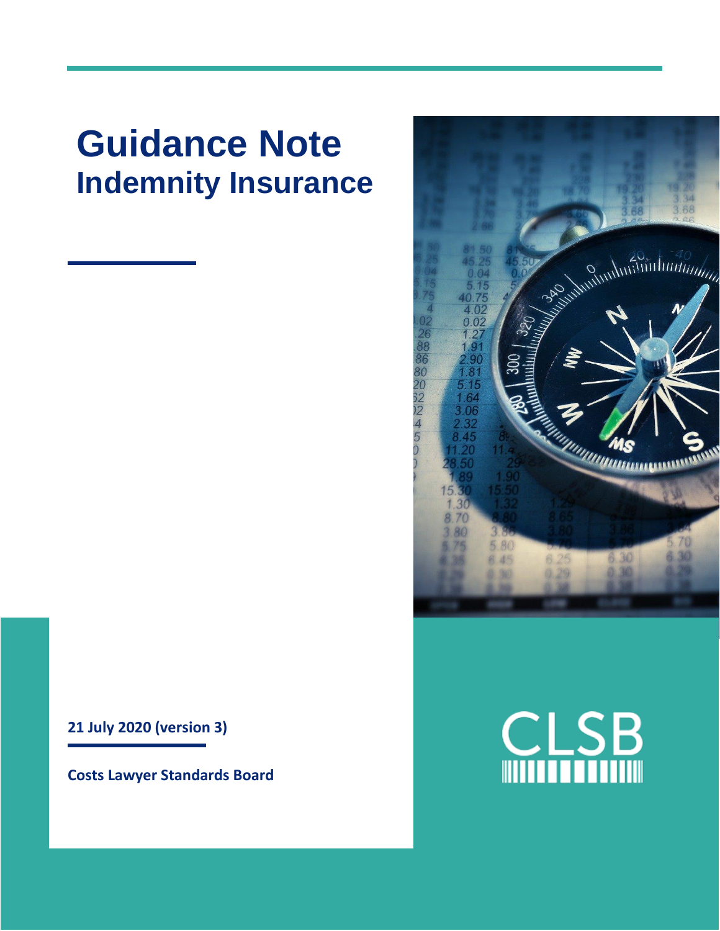# **Guidance Note Indemnity Insurance**

**21 July 2020 (version 3)**

**Costs Lawyer Standards Board**



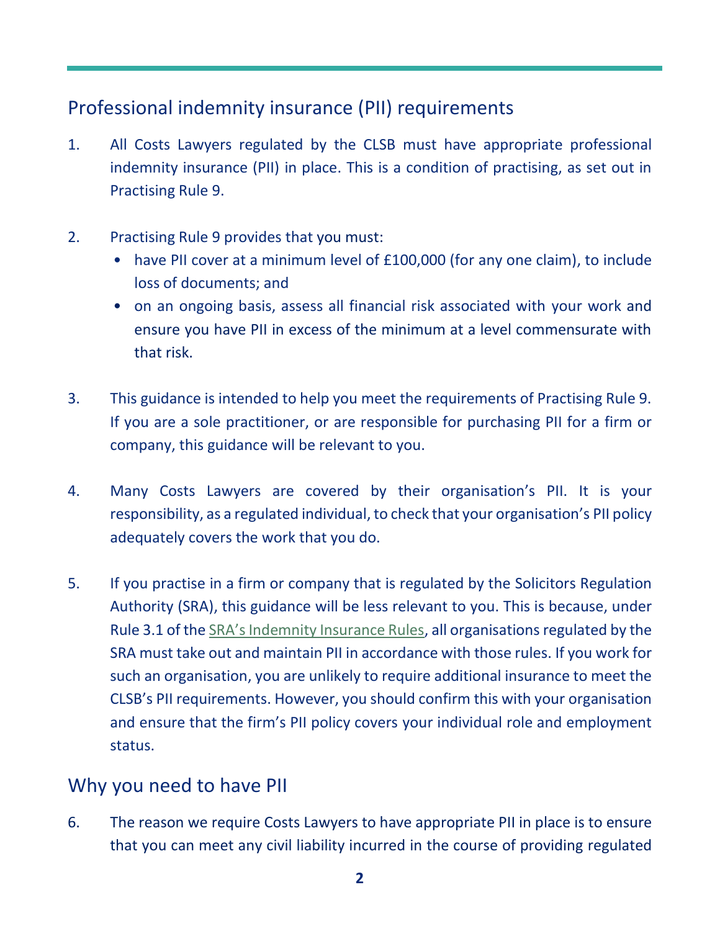# Professional indemnity insurance (PII) requirements

- 1. All Costs Lawyers regulated by the CLSB must have appropriate professional indemnity insurance (PII) in place. This is a condition of practising, as set out in Practising Rule 9.
- 2. Practising Rule 9 provides that you must:
	- have PII cover at a minimum level of £100,000 (for any one claim), to include loss of documents; and
	- on an ongoing basis, assess all financial risk associated with your work and ensure you have PII in excess of the minimum at a level commensurate with that risk.
- 3. This guidance is intended to help you meet the requirements of Practising Rule 9. If you are a sole practitioner, or are responsible for purchasing PII for a firm or company, this guidance will be relevant to you.
- 4. Many Costs Lawyers are covered by their organisation's PII. It is your responsibility, as a regulated individual, to check that your organisation's PII policy adequately covers the work that you do.
- 5. If you practise in a firm or company that is regulated by the Solicitors Regulation Authority (SRA), this guidance will be less relevant to you. This is because, under Rule 3.1 of the SRA's [Indemnity Insurance Rules,](https://www.sra.org.uk/solicitors/standards-regulations/indemnity-insurance-rules/) all organisations regulated by the SRA must take out and maintain PII in accordance with those rules. If you work for such an organisation, you are unlikely to require additional insurance to meet the CLSB's PII requirements. However, you should confirm this with your organisation and ensure that the firm's PII policy covers your individual role and employment status.

## Why you need to have PII

6. The reason we require Costs Lawyers to have appropriate PII in place is to ensure that you can meet any civil liability incurred in the course of providing regulated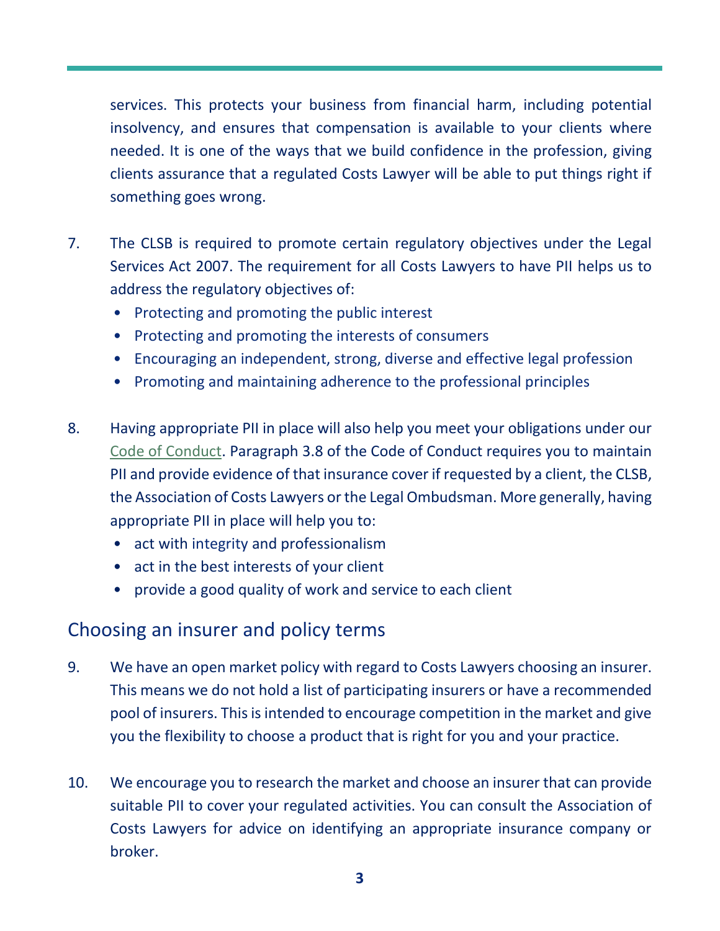services. This protects your business from financial harm, including potential insolvency, and ensures that compensation is available to your clients where needed. It is one of the ways that we build confidence in the profession, giving clients assurance that a regulated Costs Lawyer will be able to put things right if something goes wrong.

- 7. The CLSB is required to promote certain regulatory objectives under the Legal Services Act 2007. The requirement for all Costs Lawyers to have PII helps us to address the regulatory objectives of:
	- Protecting and promoting the public interest
	- Protecting and promoting the interests of consumers
	- Encouraging an independent, strong, diverse and effective legal profession
	- Promoting and maintaining adherence to the professional principles
- 8. Having appropriate PII in place will also help you meet your obligations under our [Code of Conduct.](https://clsb.info/for-costs-lawyers/costs-lawyer-handbook/) Paragraph 3.8 of the Code of Conduct requires you to maintain PII and provide evidence of that insurance cover if requested by a client, the CLSB, the Association of Costs Lawyers or the Legal Ombudsman. More generally, having appropriate PII in place will help you to:
	- act with integrity and professionalism
	- act in the best interests of your client
	- provide a good quality of work and service to each client

# Choosing an insurer and policy terms

- 9. We have an open market policy with regard to Costs Lawyers choosing an insurer. This means we do not hold a list of participating insurers or have a recommended pool of insurers. This is intended to encourage competition in the market and give you the flexibility to choose a product that is right for you and your practice.
- 10. We encourage you to research the market and choose an insurer that can provide suitable PII to cover your regulated activities. You can consult the Association of Costs Lawyers for advice on identifying an appropriate insurance company or broker.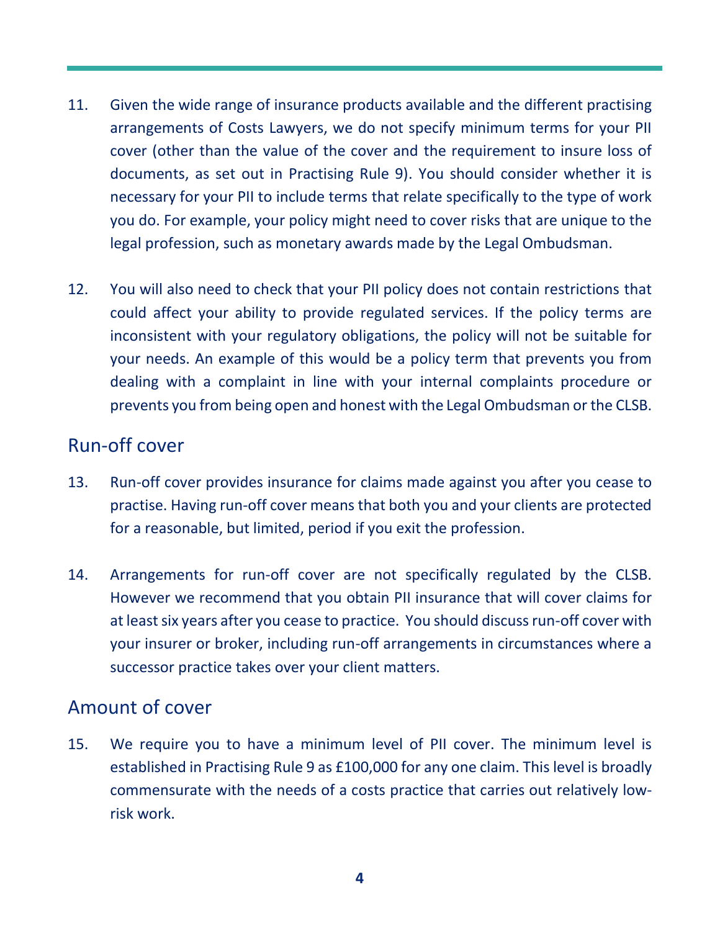- 11. Given the wide range of insurance products available and the different practising arrangements of Costs Lawyers, we do not specify minimum terms for your PII cover (other than the value of the cover and the requirement to insure loss of documents, as set out in Practising Rule 9). You should consider whether it is necessary for your PII to include terms that relate specifically to the type of work you do. For example, your policy might need to cover risks that are unique to the legal profession, such as monetary awards made by the Legal Ombudsman.
- 12. You will also need to check that your PII policy does not contain restrictions that could affect your ability to provide regulated services. If the policy terms are inconsistent with your regulatory obligations, the policy will not be suitable for your needs. An example of this would be a policy term that prevents you from dealing with a complaint in line with your internal complaints procedure or prevents you from being open and honest with the Legal Ombudsman or the CLSB.

#### Run-off cover

- 13. Run-off cover provides insurance for claims made against you after you cease to practise. Having run-off cover means that both you and your clients are protected for a reasonable, but limited, period if you exit the profession.
- 14. Arrangements for run-off cover are not specifically regulated by the CLSB. However we recommend that you obtain PII insurance that will cover claims for at least six years after you cease to practice. You should discuss run-off cover with your insurer or broker, including run-off arrangements in circumstances where a successor practice takes over your client matters.

## Amount of cover

15. We require you to have a minimum level of PII cover. The minimum level is established in Practising Rule 9 as £100,000 for any one claim. This level is broadly commensurate with the needs of a costs practice that carries out relatively lowrisk work.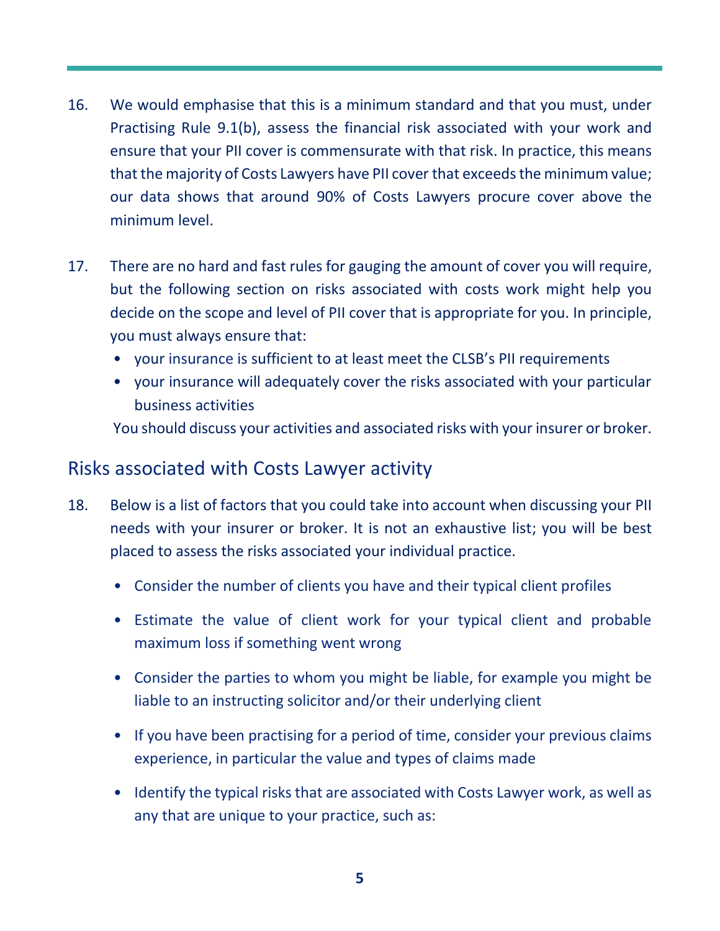- 16. We would emphasise that this is a minimum standard and that you must, under Practising Rule 9.1(b), assess the financial risk associated with your work and ensure that your PII cover is commensurate with that risk. In practice, this means that the majority of Costs Lawyers have PII cover that exceeds the minimum value; our data shows that around 90% of Costs Lawyers procure cover above the minimum level.
- 17. There are no hard and fast rules for gauging the amount of cover you will require, but the following section on risks associated with costs work might help you decide on the scope and level of PII cover that is appropriate for you. In principle, you must always ensure that:
	- your insurance is sufficient to at least meet the CLSB's PII requirements
	- your insurance will adequately cover the risks associated with your particular business activities

You should discuss your activities and associated risks with your insurer or broker.

#### Risks associated with Costs Lawyer activity

- 18. Below is a list of factors that you could take into account when discussing your PII needs with your insurer or broker. It is not an exhaustive list; you will be best placed to assess the risks associated your individual practice.
	- Consider the number of clients you have and their typical client profiles
	- Estimate the value of client work for your typical client and probable maximum loss if something went wrong
	- Consider the parties to whom you might be liable, for example you might be liable to an instructing solicitor and/or their underlying client
	- If you have been practising for a period of time, consider your previous claims experience, in particular the value and types of claims made
	- Identify the typical risks that are associated with Costs Lawyer work, as well as any that are unique to your practice, such as: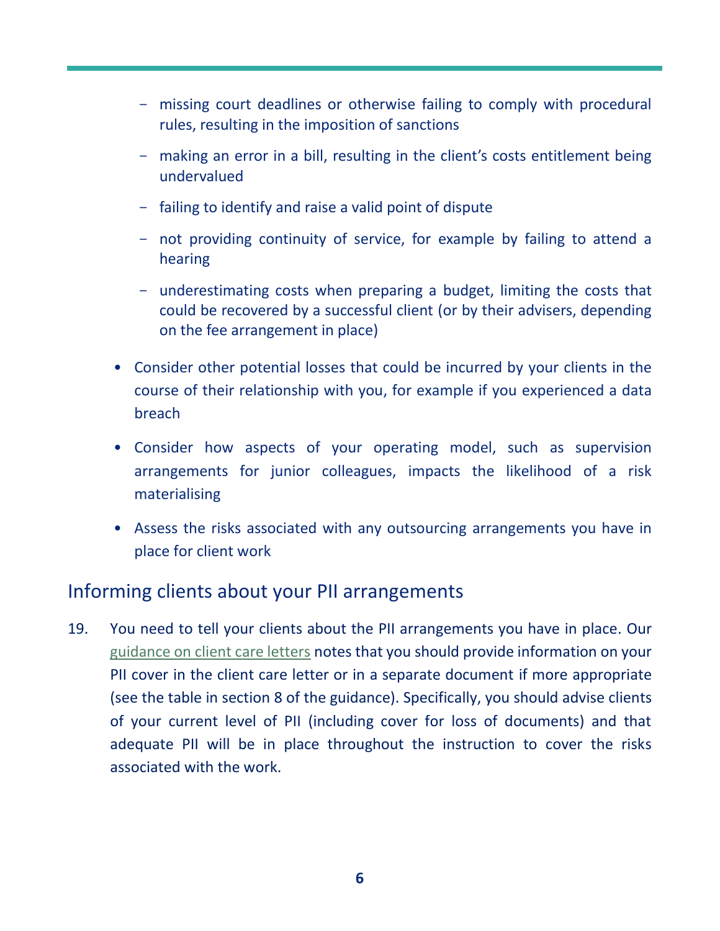- missing court deadlines or otherwise failing to comply with procedural rules, resulting in the imposition of sanctions
- making an error in a bill, resulting in the client's costs entitlement being undervalued
- failing to identify and raise a valid point of dispute
- not providing continuity of service, for example by failing to attend a hearing
- underestimating costs when preparing a budget, limiting the costs that could be recovered by a successful client (or by their advisers, depending on the fee arrangement in place)
- Consider other potential losses that could be incurred by your clients in the course of their relationship with you, for example if you experienced a data breach
- Consider how aspects of your operating model, such as supervision arrangements for junior colleagues, impacts the likelihood of a risk materialising
- Assess the risks associated with any outsourcing arrangements you have in place for client work

## Informing clients about your PII arrangements

19. You need to tell your clients about the PII arrangements you have in place. Our [guidance on client care letters](https://clsb.info/for-costs-lawyers/costs-lawyer-handbook/) notes that you should provide information on your PII cover in the client care letter or in a separate document if more appropriate (see the table in section 8 of the guidance). Specifically, you should advise clients of your current level of PII (including cover for loss of documents) and that adequate PII will be in place throughout the instruction to cover the risks associated with the work.